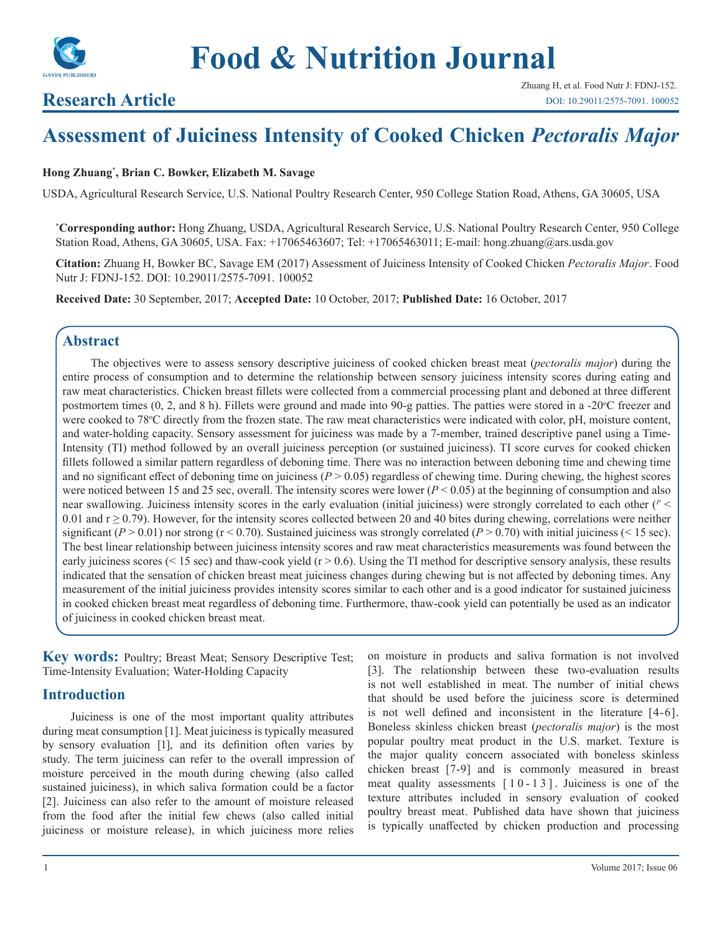

# **Research Article**

# **Assessment of Juiciness Intensity of Cooked Chicken** *Pectoralis Major*

#### **Hong Zhuang\* , Brian C. Bowker, Elizabeth M. Savage**

USDA, Agricultural Research Service, U.S. National Poultry Research Center, 950 College Station Road, Athens, GA 30605, USA

**\* Corresponding author:** Hong Zhuang, USDA, Agricultural Research Service, U.S. National Poultry Research Center, 950 College Station Road, Athens, GA 30605, USA. Fax: +17065463607; Tel: +17065463011; E-mail: hong.zhuang@ars.usda.gov

**Citation:** Zhuang H, Bowker BC, Savage EM (2017) Assessment of Juiciness Intensity of Cooked Chicken *Pectoralis Major*. Food Nutr J: FDNJ-152. DOI: 10.29011/2575-7091. 100052

**Received Date:** 30 September, 2017; **Accepted Date:** 10 October, 2017; **Published Date:** 16 October, 2017

# **Abstract**

The objectives were to assess sensory descriptive juiciness of cooked chicken breast meat (*pectoralis major*) during the entire process of consumption and to determine the relationship between sensory juiciness intensity scores during eating and raw meat characteristics. Chicken breast fillets were collected from a commercial processing plant and deboned at three different postmortem times (0, 2, and 8 h). Fillets were ground and made into 90-g patties. The patties were stored in a -20°C freezer and were cooked to 78°C directly from the frozen state. The raw meat characteristics were indicated with color, pH, moisture content, and water-holding capacity. Sensory assessment for juiciness was made by a 7-member, trained descriptive panel using a Time-Intensity (TI) method followed by an overall juiciness perception (or sustained juiciness). TI score curves for cooked chicken fillets followed a similar pattern regardless of deboning time. There was no interaction between deboning time and chewing time and no significant effect of deboning time on juiciness  $(P > 0.05)$  regardless of chewing time. During chewing, the highest scores were noticed between 15 and 25 sec, overall. The intensity scores were lower ( $P < 0.05$ ) at the beginning of consumption and also near swallowing. Juiciness intensity scores in the early evaluation (initial juiciness) were strongly correlated to each other (*<sup>P</sup>* < 0.01 and  $r \ge 0.79$ ). However, for the intensity scores collected between 20 and 40 bites during chewing, correlations were neither significant  $(P > 0.01)$  nor strong  $(r \le 0.70)$ . Sustained juiciness was strongly correlated  $(P > 0.70)$  with initial juiciness ( $\le 15$  sec). The best linear relationship between juiciness intensity scores and raw meat characteristics measurements was found between the early juiciness scores ( $\leq 15$  sec) and thaw-cook yield ( $r > 0.6$ ). Using the TI method for descriptive sensory analysis, these results indicated that the sensation of chicken breast meat juiciness changes during chewing but is not affected by deboning times. Any measurement of the initial juiciness provides intensity scores similar to each other and is a good indicator for sustained juiciness in cooked chicken breast meat regardless of deboning time. Furthermore, thaw-cook yield can potentially be used as an indicator of juiciness in cooked chicken breast meat.

**Key words:** Poultry; Breast Meat; Sensory Descriptive Test; Time-Intensity Evaluation; Water-Holding Capacity

## **Introduction**

Juiciness is one of the most important quality attributes during meat consumption [1]. Meat juiciness is typically measured by sensory evaluation [1], and its definition often varies by study. The term juiciness can refer to the overall impression of moisture perceived in the mouth during chewing (also called sustained juiciness), in which saliva formation could be a factor [2]. Juiciness can also refer to the amount of moisture released from the food after the initial few chews (also called initial juiciness or moisture release), in which juiciness more relies

on moisture in products and saliva formation is not involved [3]. The relationship between these two-evaluation results is not well established in meat. The number of initial chews that should be used before the juiciness score is determined is not well defined and inconsistent in the literature [4-6]. Boneless skinless chicken breast (*pectoralis major*) is the most popular poultry meat product in the U.S. market. Texture is the major quality concern associated with boneless skinless chicken breast [7-9] and is commonly measured in breast meat quality assessments  $[10 - 13]$ . Juiciness is one of the texture attributes included in sensory evaluation of cooked poultry breast meat. Published data have shown that juiciness is typically unaffected by chicken production and processing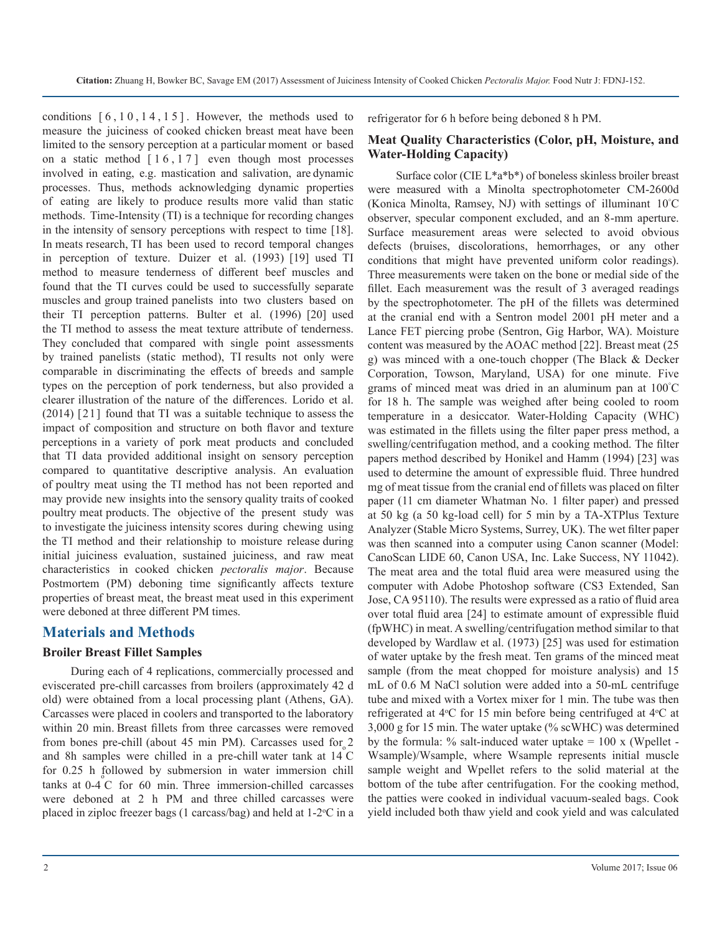conditions  $[6, 10, 14, 15]$ . However, the methods used to measure the juiciness of cooked chicken breast meat have been limited to the sensory perception at a particular moment or based on a static method  $\lceil 16, 17 \rceil$  even though most processes involved in eating, e.g. mastication and salivation, are dynamic processes. Thus, methods acknowledging dynamic properties of eating are likely to produce results more valid than static methods. Time-Intensity (TI) is a technique for recording changes in the intensity of sensory perceptions with respect to time [18]. In meats research, TI has been used to record temporal changes in perception of texture. Duizer et al. (1993) [19] used TI method to measure tenderness of different beef muscles and found that the TI curves could be used to successfully separate muscles and group trained panelists into two clusters based on their TI perception patterns. Bulter et al. (1996) [20] used the TI method to assess the meat texture attribute of tenderness. They concluded that compared with single point assessments by trained panelists (static method), TI results not only were comparable in discriminating the effects of breeds and sample types on the perception of pork tenderness, but also provided a clearer illustration of the nature of the differences. Lorido et al. (2014) [21] found that TI was a suitable technique to assess the impact of composition and structure on both flavor and texture perceptions in a variety of pork meat products and concluded that TI data provided additional insight on sensory perception compared to quantitative descriptive analysis. An evaluation of poultry meat using the TI method has not been reported and may provide new insights into the sensory quality traits of cooked poultry meat products. The objective of the present study was to investigate the juiciness intensity scores during chewing using the TI method and their relationship to moisture release during initial juiciness evaluation, sustained juiciness, and raw meat characteristics in cooked chicken *pectoralis major*. Because Postmortem (PM) deboning time significantly affects texture properties of breast meat, the breast meat used in this experiment were deboned at three different PM times.

#### **Materials and Methods**

#### **Broiler Breast Fillet Samples**

During each of 4 replications, commercially processed and eviscerated pre-chill carcasses from broilers (approximately 42 d old) were obtained from a local processing plant (Athens, GA). Carcasses were placed in coolers and transported to the laboratory within 20 min. Breast fillets from three carcasses were removed from bones pre-chill (about 45 min PM). Carcasses used for 2 and 8h samples were chilled in a pre-chill water tank at  $14\text{ C}$ for 0.25 h followed by submersion in water immersion chill  $\tan \theta$  at  $\theta$  for  $\theta$  min. Three immersion-chilled carcasses were deboned at 2 h PM and three chilled carcasses were placed in ziploc freezer bags (1 carcass/bag) and held at  $1-2$ °C in a

refrigerator for 6 h before being deboned 8 h PM.

#### **Meat Quality Characteristics (Color, pH, Moisture, and Water-Holding Capacity)**

Surface color (CIE L\*a\*b\*) of boneless skinless broiler breast were measured with a Minolta spectrophotometer CM-2600d (Konica Minolta, Ramsey, NJ) with settings of illuminant 10° C observer, specular component excluded, and an 8-mm aperture. Surface measurement areas were selected to avoid obvious defects (bruises, discolorations, hemorrhages, or any other conditions that might have prevented uniform color readings). Three measurements were taken on the bone or medial side of the fillet. Each measurement was the result of 3 averaged readings by the spectrophotometer. The pH of the fillets was determined at the cranial end with a Sentron model 2001 pH meter and a Lance FET piercing probe (Sentron, Gig Harbor, WA). Moisture content was measured by the AOAC method [22]. Breast meat (25 g) was minced with a one-touch chopper (The Black & Decker Corporation, Towson, Maryland, USA) for one minute. Five grams of minced meat was dried in an aluminum pan at 100° C for 18 h. The sample was weighed after being cooled to room temperature in a desiccator. Water-Holding Capacity (WHC) was estimated in the fillets using the filter paper press method, a swelling/centrifugation method, and a cooking method. The filter papers method described by Honikel and Hamm (1994) [23] was used to determine the amount of expressible fluid. Three hundred mg of meat tissue from the cranial end of fillets was placed on filter paper (11 cm diameter Whatman No. 1 filter paper) and pressed at 50 kg (a 50 kg-load cell) for 5 min by a TA-XTPlus Texture Analyzer (Stable Micro Systems, Surrey, UK). The wet filter paper was then scanned into a computer using Canon scanner (Model: CanoScan LIDE 60, Canon USA, Inc. Lake Success, NY 11042). The meat area and the total fluid area were measured using the computer with Adobe Photoshop software (CS3 Extended, San Jose, CA 95110). The results were expressed as a ratio of fluid area over total fluid area [24] to estimate amount of expressible fluid (fpWHC) in meat. A swelling/centrifugation method similar to that developed by Wardlaw et al. (1973) [25] was used for estimation of water uptake by the fresh meat. Ten grams of the minced meat sample (from the meat chopped for moisture analysis) and 15 mL of 0.6 M NaCl solution were added into a 50-mL centrifuge tube and mixed with a Vortex mixer for 1 min. The tube was then refrigerated at 4°C for 15 min before being centrifuged at 4°C at 3,000 g for 15 min. The water uptake (% scWHC) was determined by the formula:  $\%$  salt-induced water uptake = 100 x (Wpellet -Wsample)/Wsample, where Wsample represents initial muscle sample weight and Wpellet refers to the solid material at the bottom of the tube after centrifugation. For the cooking method, the patties were cooked in individual vacuum-sealed bags. Cook yield included both thaw yield and cook yield and was calculated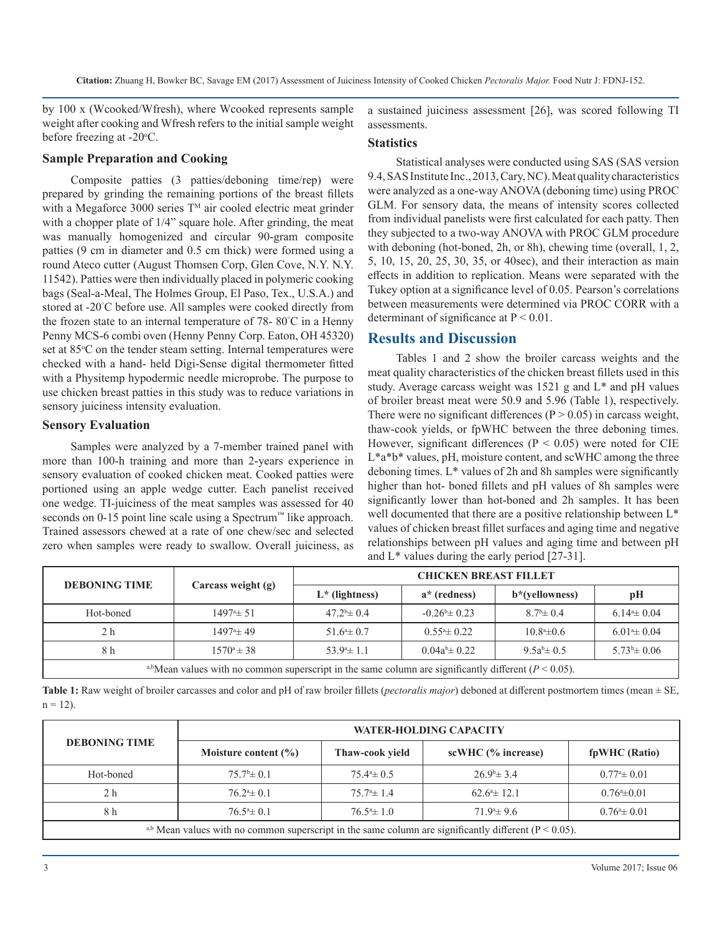**Citation:** Zhuang H, Bowker BC, Savage EM (2017) Assessment of Juiciness Intensity of Cooked Chicken *Pectoralis Major.* Food Nutr J: FDNJ-152.

by 100 x (Wcooked/Wfresh), where Wcooked represents sample weight after cooking and Wfresh refers to the initial sample weight before freezing at  $-20$ °C.

#### **Sample Preparation and Cooking**

Composite patties (3 patties/deboning time/rep) were prepared by grinding the remaining portions of the breast fillets with a Megaforce 3000 series  $T^M$  air cooled electric meat grinder with a chopper plate of  $1/4$ " square hole. After grinding, the meat was manually homogenized and circular 90-gram composite patties (9 cm in diameter and 0.5 cm thick) were formed using a round Ateco cutter (August Thomsen Corp, Glen Cove, N.Y. N.Y. 11542). Patties were then individually placed in polymeric cooking bags (Seal-a-Meal, The Holmes Group, El Paso, Tex., U.S.A.) and stored at -20° C before use. All samples were cooked directly from the frozen state to an internal temperature of 78- 80° C in a Henny Penny MCS-6 combi oven (Henny Penny Corp. Eaton, OH 45320) set at 85°C on the tender steam setting. Internal temperatures were checked with a hand- held Digi-Sense digital thermometer fitted with a Physitemp hypodermic needle microprobe. The purpose to use chicken breast patties in this study was to reduce variations in sensory juiciness intensity evaluation.

#### **Sensory Evaluation**

Samples were analyzed by a 7-member trained panel with more than 100-h training and more than 2-years experience in sensory evaluation of cooked chicken meat. Cooked patties were portioned using an apple wedge cutter. Each panelist received one wedge. TI-juiciness of the meat samples was assessed for 40 seconds on 0-15 point line scale using a Spectrum™ like approach. Trained assessors chewed at a rate of one chew/sec and selected zero when samples were ready to swallow. Overall juiciness, as

a sustained juiciness assessment [26], was scored following TI assessments.

#### **Statistics**

Statistical analyses were conducted using SAS (SAS version 9.4, SAS Institute Inc., 2013, Cary, NC). Meat quality characteristics were analyzed as a one-way ANOVA (deboning time) using PROC GLM. For sensory data, the means of intensity scores collected from individual panelists were first calculated for each patty. Then they subjected to a two-way ANOVA with PROC GLM procedure with deboning (hot-boned, 2h, or 8h), chewing time (overall, 1, 2, 5, 10, 15, 20, 25, 30, 35, or 40sec), and their interaction as main effects in addition to replication. Means were separated with the Tukey option at a significance level of 0.05. Pearson's correlations between measurements were determined via PROC CORR with a determinant of significance at  $P < 0.01$ .

# **Results and Discussion**

Tables 1 and 2 show the broiler carcass weights and the meat quality characteristics of the chicken breast fillets used in this study. Average carcass weight was 1521 g and L\* and pH values of broiler breast meat were 50.9 and 5.96 (Table 1), respectively. There were no significant differences ( $P > 0.05$ ) in carcass weight, thaw-cook yields, or fpWHC between the three deboning times. However, significant differences ( $P < 0.05$ ) were noted for CIE L<sup>\*a\*b\*</sup> values, pH, moisture content, and scWHC among the three deboning times. L\* values of 2h and 8h samples were significantly higher than hot- boned fillets and pH values of 8h samples were significantly lower than hot-boned and 2h samples. It has been well documented that there are a positive relationship between L\* values of chicken breast fillet surfaces and aging time and negative relationships between pH values and aging time and between pH and L\* values during the early period [27-31].

|                                                                                                          | <b>DEBONING TIME</b><br>Carcass weight (g)<br>$L^*$ (lightness) | <b>CHICKEN BREAST FILLET</b> |                           |                        |                   |  |  |  |
|----------------------------------------------------------------------------------------------------------|-----------------------------------------------------------------|------------------------------|---------------------------|------------------------|-------------------|--|--|--|
|                                                                                                          |                                                                 | $a^*$ (redness)              | b*(yellowness)            | pH                     |                   |  |  |  |
| Hot-boned                                                                                                | $1497^{\circ}$ $\pm$ 51                                         | $47.2^{\circ}$ ± 0.4         | $-0.26^{\circ} \pm 0.23$  | $8.7^{\rm b} \pm 0.4$  | $6.144 \pm 0.04$  |  |  |  |
| 2 h                                                                                                      | $1497^{\circ}$ ± 49                                             | $51.6^{\circ} \pm 0.7$       | $0.55^{\circ}$ $\pm$ 0.22 | $10.8^{\circ} \pm 0.6$ | $6.014 \pm 0.04$  |  |  |  |
| 8 h                                                                                                      | $1570^{\circ} \pm 38$                                           | $53.9^{\circ}$ ± 1.1         | $0.04a^{b} \pm 0.22$      | $9.5a^{b} \pm 0.5$     | $5.73^b \pm 0.06$ |  |  |  |
| a,bMean values with no common superscript in the same column are significantly different ( $P < 0.05$ ). |                                                                 |                              |                           |                        |                   |  |  |  |

**Table 1:** Raw weight of broiler carcasses and color and pH of raw broiler fillets (*pectoralis major*) deboned at different postmortem times (mean ± SE,  $n = 12$ ).

|                                                                                                           | <b>WATER-HOLDING CAPACITY</b> |                      |                        |                  |  |  |  |  |  |
|-----------------------------------------------------------------------------------------------------------|-------------------------------|----------------------|------------------------|------------------|--|--|--|--|--|
| <b>DEBONING TIME</b>                                                                                      | Moisture content $(\% )$      | Thaw-cook yield      | scWHC (% increase)     | fpWHC (Ratio)    |  |  |  |  |  |
| Hot-boned                                                                                                 | $75.7^{\rm b} \pm 0.1$        | $75.44 \pm 0.5$      | $26.9^{\circ}$ ± 3.4   | $0.774 \pm 0.01$ |  |  |  |  |  |
| 2 h                                                                                                       | $76.2^{\mathrm{a}} \pm 0.1$   | $75.7^{\circ}$ ± 1.4 | $62.6^{\circ}$ ± 12.1  | $0.764 \pm 0.01$ |  |  |  |  |  |
| 8 h                                                                                                       | $76.5^{\circ} \pm 0.1$        | $76.54 \pm 1.0$      | $71.9^{\circ} \pm 9.6$ | $0.764 \pm 0.01$ |  |  |  |  |  |
| a,b Mean values with no common superscript in the same column are significantly different ( $P < 0.05$ ). |                               |                      |                        |                  |  |  |  |  |  |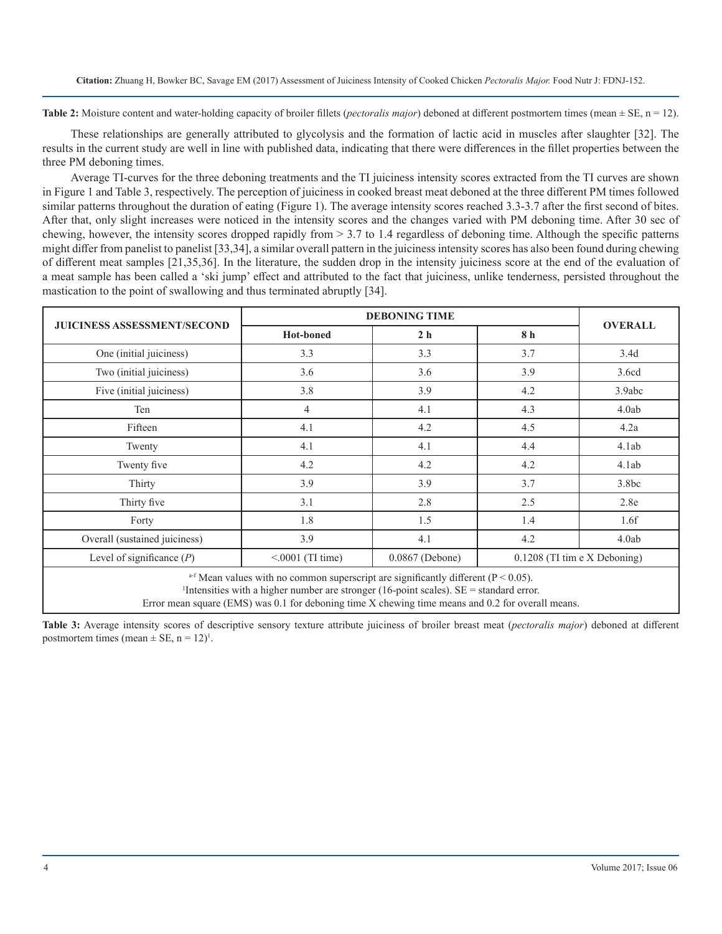**Table 2:** Moisture content and water-holding capacity of broiler fillets (*pectoralis major*) deboned at different postmortem times (mean  $\pm$  SE, n = 12).

These relationships are generally attributed to glycolysis and the formation of lactic acid in muscles after slaughter [32]. The results in the current study are well in line with published data, indicating that there were differences in the fillet properties between the three PM deboning times.

Average TI-curves for the three deboning treatments and the TI juiciness intensity scores extracted from the TI curves are shown in Figure 1 and Table 3, respectively. The perception of juiciness in cooked breast meat deboned at the three different PM times followed similar patterns throughout the duration of eating (Figure 1). The average intensity scores reached 3.3-3.7 after the first second of bites. After that, only slight increases were noticed in the intensity scores and the changes varied with PM deboning time. After 30 sec of chewing, however, the intensity scores dropped rapidly from > 3.7 to 1.4 regardless of deboning time. Although the specific patterns might differ from panelist to panelist [33,34], a similar overall pattern in the juiciness intensity scores has also been found during chewing of different meat samples [21,35,36]. In the literature, the sudden drop in the intensity juiciness score at the end of the evaluation of a meat sample has been called a 'ski jump' effect and attributed to the fact that juiciness, unlike tenderness, persisted throughout the mastication to the point of swallowing and thus terminated abruptly [34].

|                                                                                                                                                                                                           | <b>DEBONING TIME</b> | <b>OVERALL</b> |     |                   |  |  |  |  |
|-----------------------------------------------------------------------------------------------------------------------------------------------------------------------------------------------------------|----------------------|----------------|-----|-------------------|--|--|--|--|
| <b>JUICINESS ASSESSMENT/SECOND</b>                                                                                                                                                                        | <b>Hot-boned</b>     | 2 <sub>h</sub> | 8 h |                   |  |  |  |  |
| One (initial juiciness)                                                                                                                                                                                   | 3.3                  | 3.3            | 3.7 | 3.4d              |  |  |  |  |
| Two (initial juiciness)                                                                                                                                                                                   | 3.6                  | 3.6            | 3.9 | 3.6cd             |  |  |  |  |
| Five (initial juiciness)                                                                                                                                                                                  | 3.8                  | 3.9            | 4.2 | 3.9abc            |  |  |  |  |
| Ten                                                                                                                                                                                                       | $\overline{4}$       | 4.1            | 4.3 | 4.0ab             |  |  |  |  |
| Fifteen                                                                                                                                                                                                   | 4.1                  | 4.2            | 4.5 | 4.2a              |  |  |  |  |
| Twenty                                                                                                                                                                                                    | 4.1                  | 4.1            | 4.4 | 4.1ab             |  |  |  |  |
| Twenty five                                                                                                                                                                                               | 4.2                  | 4.2            | 4.2 | 4.1ab             |  |  |  |  |
| Thirty                                                                                                                                                                                                    | 3.9                  | 3.9            | 3.7 | 3.8 <sub>bc</sub> |  |  |  |  |
| Thirty five                                                                                                                                                                                               | 3.1                  | 2.8            | 2.5 | 2.8e              |  |  |  |  |
| Forty                                                                                                                                                                                                     | 1.8                  | 1.5            | 1.4 | 1.6f              |  |  |  |  |
| Overall (sustained juiciness)                                                                                                                                                                             | 3.9                  | 4.1            | 4.2 | 4.0ab             |  |  |  |  |
| Level of significance $(P)$<br>$< 0001$ (TI time)<br>0.0867 (Debone)<br>$0.1208$ (TI tim e X Deboning)                                                                                                    |                      |                |     |                   |  |  |  |  |
| <sup>a-f</sup> Mean values with no common superscript are significantly different ( $P < 0.05$ ).<br><sup>1</sup> Intensities with a higher number are stronger (16-point scales). $SE =$ standard error. |                      |                |     |                   |  |  |  |  |

Error mean square (EMS) was 0.1 for deboning time X chewing time means and 0.2 for overall means.

**Table 3:** Average intensity scores of descriptive sensory texture attribute juiciness of broiler breast meat (*pectoralis major*) deboned at different postmortem times (mean  $\pm$  SE, n = 12)<sup>1</sup>.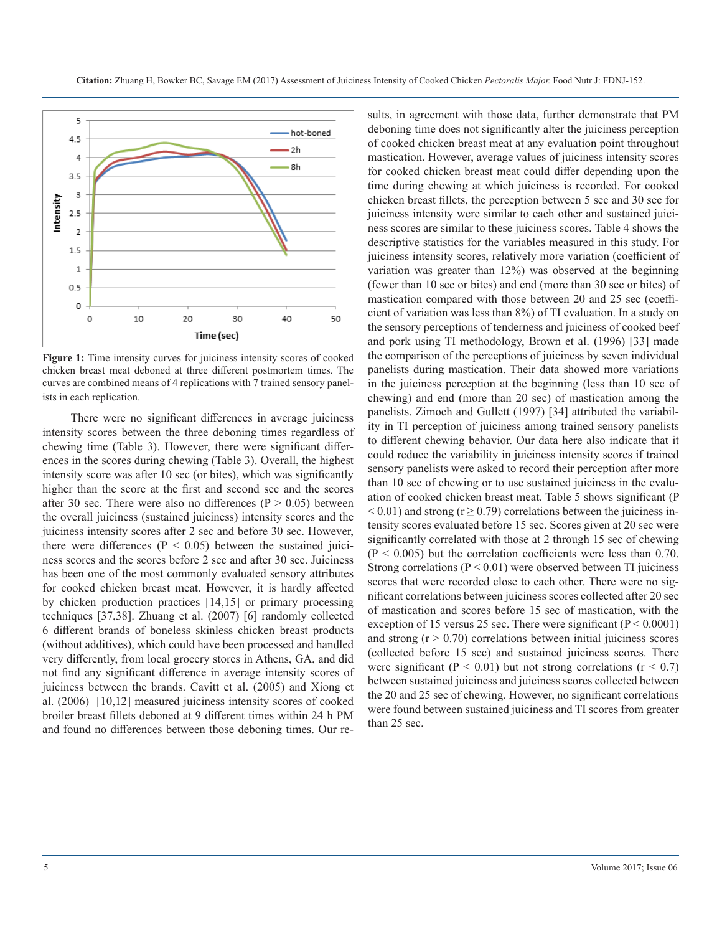

**Figure 1:** Time intensity curves for juiciness intensity scores of cooked chicken breast meat deboned at three different postmortem times. The curves are combined means of 4 replications with 7 trained sensory panelists in each replication.

There were no significant differences in average juiciness intensity scores between the three deboning times regardless of chewing time (Table 3). However, there were significant differences in the scores during chewing (Table 3). Overall, the highest intensity score was after 10 sec (or bites), which was significantly higher than the score at the first and second sec and the scores after 30 sec. There were also no differences ( $P > 0.05$ ) between the overall juiciness (sustained juiciness) intensity scores and the juiciness intensity scores after 2 sec and before 30 sec. However, there were differences ( $P < 0.05$ ) between the sustained juiciness scores and the scores before 2 sec and after 30 sec. Juiciness has been one of the most commonly evaluated sensory attributes for cooked chicken breast meat. However, it is hardly affected by chicken production practices [14,15] or primary processing techniques [37,38]. Zhuang et al. (2007) [6] randomly collected 6 different brands of boneless skinless chicken breast products (without additives), which could have been processed and handled very differently, from local grocery stores in Athens, GA, and did not find any significant difference in average intensity scores of juiciness between the brands. Cavitt et al. (2005) and Xiong et al. (2006) [10,12] measured juiciness intensity scores of cooked broiler breast fillets deboned at 9 different times within 24 h PM and found no differences between those deboning times. Our re-

sults, in agreement with those data, further demonstrate that PM deboning time does not significantly alter the juiciness perception of cooked chicken breast meat at any evaluation point throughout mastication. However, average values of juiciness intensity scores for cooked chicken breast meat could differ depending upon the time during chewing at which juiciness is recorded. For cooked chicken breast fillets, the perception between 5 sec and 30 sec for juiciness intensity were similar to each other and sustained juiciness scores are similar to these juiciness scores. Table 4 shows the descriptive statistics for the variables measured in this study. For juiciness intensity scores, relatively more variation (coefficient of variation was greater than 12%) was observed at the beginning (fewer than 10 sec or bites) and end (more than 30 sec or bites) of mastication compared with those between 20 and 25 sec (coefficient of variation was less than 8%) of TI evaluation. In a study on the sensory perceptions of tenderness and juiciness of cooked beef and pork using TI methodology, Brown et al. (1996) [33] made the comparison of the perceptions of juiciness by seven individual panelists during mastication. Their data showed more variations in the juiciness perception at the beginning (less than 10 sec of chewing) and end (more than 20 sec) of mastication among the panelists. Zimoch and Gullett (1997) [34] attributed the variability in TI perception of juiciness among trained sensory panelists to different chewing behavior. Our data here also indicate that it could reduce the variability in juiciness intensity scores if trained sensory panelists were asked to record their perception after more than 10 sec of chewing or to use sustained juiciness in the evaluation of cooked chicken breast meat. Table 5 shows significant (P  $< 0.01$ ) and strong ( $r \ge 0.79$ ) correlations between the juiciness intensity scores evaluated before 15 sec. Scores given at 20 sec were significantly correlated with those at 2 through 15 sec of chewing  $(P < 0.005)$  but the correlation coefficients were less than 0.70. Strong correlations ( $P < 0.01$ ) were observed between TI juiciness scores that were recorded close to each other. There were no significant correlations between juiciness scores collected after 20 sec of mastication and scores before 15 sec of mastication, with the exception of 15 versus 25 sec. There were significant ( $P \le 0.0001$ ) and strong  $(r > 0.70)$  correlations between initial juiciness scores (collected before 15 sec) and sustained juiciness scores. There were significant ( $P < 0.01$ ) but not strong correlations ( $r < 0.7$ ) between sustained juiciness and juiciness scores collected between the 20 and 25 sec of chewing. However, no significant correlations were found between sustained juiciness and TI scores from greater than 25 sec.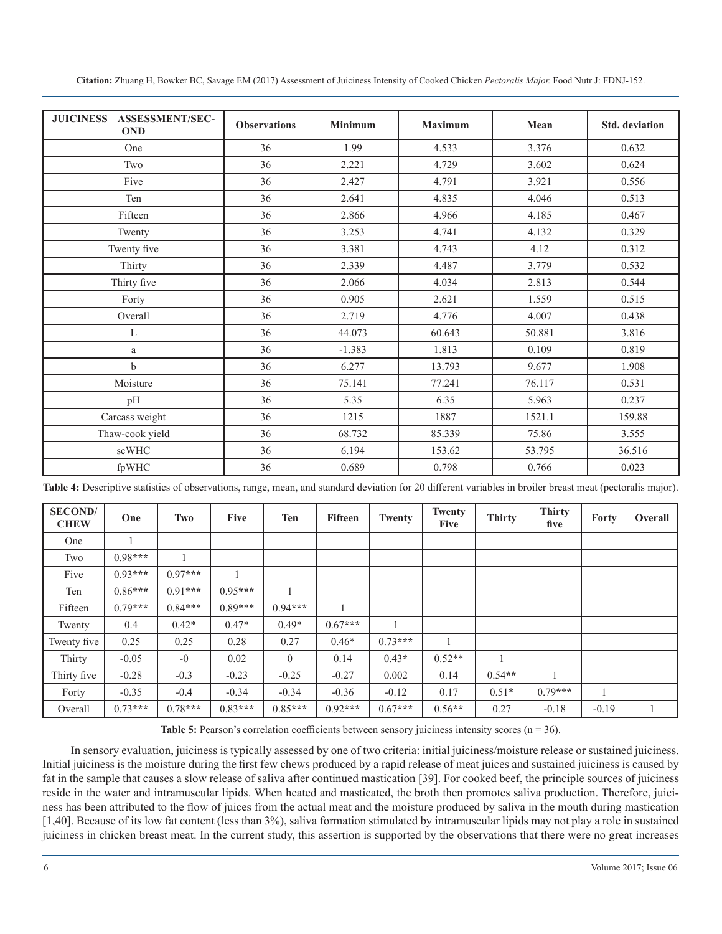| <b>ASSESSMENT/SEC-</b><br><b>JUICINESS</b><br><b>OND</b> | <b>Observations</b> | <b>Minimum</b> | <b>Maximum</b> | Mean   | <b>Std.</b> deviation |
|----------------------------------------------------------|---------------------|----------------|----------------|--------|-----------------------|
| One                                                      | 36                  | 1.99           | 4.533          | 3.376  | 0.632                 |
| Two                                                      | 36                  | 2.221          | 4.729          | 3.602  | 0.624                 |
| Five                                                     | 36                  | 2.427          | 4.791          | 3.921  | 0.556                 |
| Ten                                                      | 36                  | 2.641          | 4.835          | 4.046  | 0.513                 |
| Fifteen                                                  | 36                  | 2.866          | 4.966          | 4.185  | 0.467                 |
| Twenty                                                   | 36                  | 3.253          | 4.741          | 4.132  | 0.329                 |
| Twenty five                                              | 36                  | 3.381          | 4.743          | 4.12   | 0.312                 |
| Thirty                                                   | 36                  | 2.339          | 4.487          | 3.779  | 0.532                 |
| Thirty five                                              | 36                  | 2.066          | 4.034          | 2.813  | 0.544                 |
| Forty                                                    | 36                  | 0.905          | 2.621          | 1.559  | 0.515                 |
| Overall                                                  | 36                  | 2.719          | 4.776          | 4.007  | 0.438                 |
| $\mathbf L$                                              | 36                  | 44.073         | 60.643         | 50.881 | 3.816                 |
| $\rm{a}$                                                 | 36                  | $-1.383$       | 1.813          | 0.109  | 0.819                 |
| $\mathbf b$                                              | 36                  | 6.277          | 13.793         | 9.677  | 1.908                 |
| Moisture                                                 | 36                  | 75.141         | 77.241         | 76.117 | 0.531                 |
| pH                                                       | 36                  | 5.35           | 6.35           | 5.963  | 0.237                 |
| Carcass weight                                           | 36                  | 1215           | 1887           | 1521.1 | 159.88                |
| Thaw-cook yield                                          | 36                  | 68.732         | 85.339         | 75.86  | 3.555                 |
| scWHC                                                    | 36                  | 6.194          | 153.62         | 53.795 | 36.516                |
| fpWHC                                                    | 36                  | 0.689          | 0.798          | 0.766  | 0.023                 |

**Citation:** Zhuang H, Bowker BC, Savage EM (2017) Assessment of Juiciness Intensity of Cooked Chicken *Pectoralis Major.* Food Nutr J: FDNJ-152.

**Table 4:** Descriptive statistics of observations, range, mean, and standard deviation for 20 different variables in broiler breast meat (pectoralis major).

| <b>SECOND</b> /<br><b>CHEW</b> | One       | Two       | <b>Five</b> | <b>Ten</b>     | <b>Fifteen</b> | <b>Twenty</b> | Twenty<br><b>Five</b> | <b>Thirty</b> | <b>Thirty</b><br>five | Forty   | Overall |
|--------------------------------|-----------|-----------|-------------|----------------|----------------|---------------|-----------------------|---------------|-----------------------|---------|---------|
| One                            |           |           |             |                |                |               |                       |               |                       |         |         |
| Two                            | $0.98***$ |           |             |                |                |               |                       |               |                       |         |         |
| Five                           | $0.93***$ | $0.97***$ |             |                |                |               |                       |               |                       |         |         |
| Ten                            | $0.86***$ | $0.91***$ | $0.95***$   |                |                |               |                       |               |                       |         |         |
| Fifteen                        | $0.79***$ | $0.84***$ | $0.89***$   | $0.94***$      |                |               |                       |               |                       |         |         |
| Twenty                         | 0.4       | $0.42*$   | $0.47*$     | $0.49*$        | $0.67***$      |               |                       |               |                       |         |         |
| Twenty five                    | 0.25      | 0.25      | 0.28        | 0.27           | $0.46*$        | $0.73***$     |                       |               |                       |         |         |
| Thirty                         | $-0.05$   | $-0$      | 0.02        | $\overline{0}$ | 0.14           | $0.43*$       | $0.52**$              |               |                       |         |         |
| Thirty five                    | $-0.28$   | $-0.3$    | $-0.23$     | $-0.25$        | $-0.27$        | 0.002         | 0.14                  | $0.54**$      | 1                     |         |         |
| Forty                          | $-0.35$   | $-0.4$    | $-0.34$     | $-0.34$        | $-0.36$        | $-0.12$       | 0.17                  | $0.51*$       | $0.79***$             |         |         |
| Overall                        | $0.73***$ | $0.78***$ | $0.83***$   | $0.85***$      | $0.92***$      | $0.67***$     | $0.56**$              | 0.27          | $-0.18$               | $-0.19$ |         |

Table 5: Pearson's correlation coefficients between sensory juiciness intensity scores (n = 36).

In sensory evaluation, juiciness is typically assessed by one of two criteria: initial juiciness/moisture release or sustained juiciness. Initial juiciness is the moisture during the first few chews produced by a rapid release of meat juices and sustained juiciness is caused by fat in the sample that causes a slow release of saliva after continued mastication [39]. For cooked beef, the principle sources of juiciness reside in the water and intramuscular lipids. When heated and masticated, the broth then promotes saliva production. Therefore, juiciness has been attributed to the flow of juices from the actual meat and the moisture produced by saliva in the mouth during mastication [1,40]. Because of its low fat content (less than 3%), saliva formation stimulated by intramuscular lipids may not play a role in sustained juiciness in chicken breast meat. In the current study, this assertion is supported by the observations that there were no great increases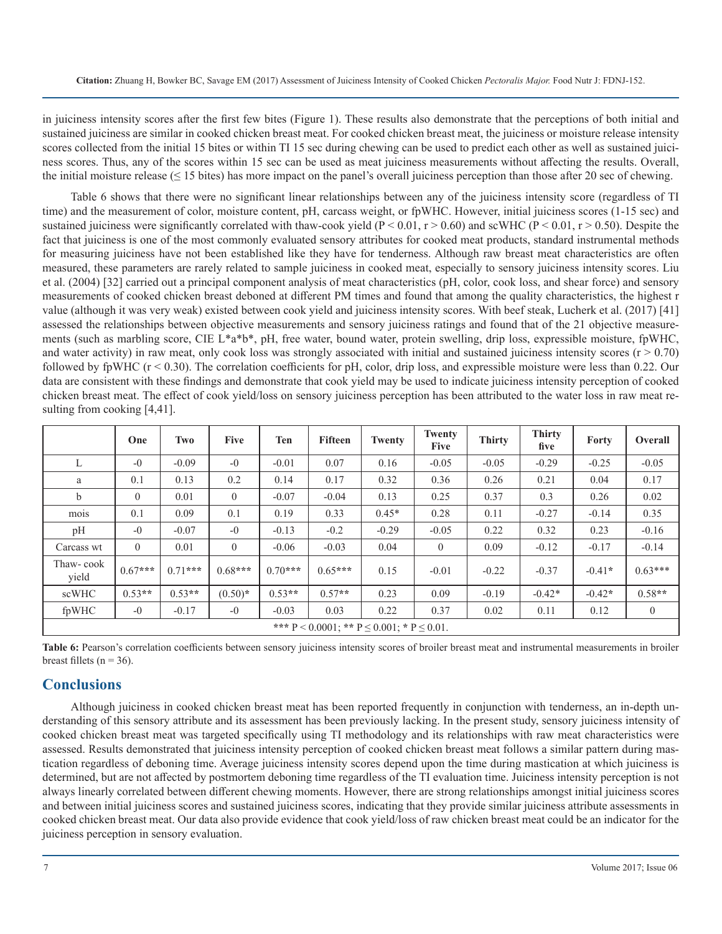in juiciness intensity scores after the first few bites (Figure 1). These results also demonstrate that the perceptions of both initial and sustained juiciness are similar in cooked chicken breast meat. For cooked chicken breast meat, the juiciness or moisture release intensity scores collected from the initial 15 bites or within TI 15 sec during chewing can be used to predict each other as well as sustained juiciness scores. Thus, any of the scores within 15 sec can be used as meat juiciness measurements without affecting the results. Overall, the initial moisture release  $(≤ 15 \text{ bits})$  has more impact on the panel's overall juiciness perception than those after 20 sec of chewing.

Table 6 shows that there were no significant linear relationships between any of the juiciness intensity score (regardless of TI time) and the measurement of color, moisture content, pH, carcass weight, or fpWHC. However, initial juiciness scores (1-15 sec) and sustained juiciness were significantly correlated with thaw-cook yield ( $P < 0.01$ ,  $r > 0.60$ ) and scWHC ( $P < 0.01$ ,  $r > 0.50$ ). Despite the fact that juiciness is one of the most commonly evaluated sensory attributes for cooked meat products, standard instrumental methods for measuring juiciness have not been established like they have for tenderness. Although raw breast meat characteristics are often measured, these parameters are rarely related to sample juiciness in cooked meat, especially to sensory juiciness intensity scores. Liu et al. (2004) [32] carried out a principal component analysis of meat characteristics (pH, color, cook loss, and shear force) and sensory measurements of cooked chicken breast deboned at different PM times and found that among the quality characteristics, the highest r value (although it was very weak) existed between cook yield and juiciness intensity scores. With beef steak, Lucherk et al. (2017) [41] assessed the relationships between objective measurements and sensory juiciness ratings and found that of the 21 objective measurements (such as marbling score, CIE L\*a\*b\*, pH, free water, bound water, protein swelling, drip loss, expressible moisture, fpWHC, and water activity) in raw meat, only cook loss was strongly associated with initial and sustained juiciness intensity scores  $(r > 0.70)$ followed by fpWHC  $(r < 0.30)$ . The correlation coefficients for pH, color, drip loss, and expressible moisture were less than 0.22. Our data are consistent with these findings and demonstrate that cook yield may be used to indicate juiciness intensity perception of cooked chicken breast meat. The effect of cook yield/loss on sensory juiciness perception has been attributed to the water loss in raw meat resulting from cooking [4,41].

|                    | One                                                    | Two       | <b>Five</b>    | <b>Ten</b> | <b>Fifteen</b> | Twenty  | Twenty<br><b>Five</b> | <b>Thirty</b> | <b>Thirty</b><br>five | Forty    | <b>Overall</b> |
|--------------------|--------------------------------------------------------|-----------|----------------|------------|----------------|---------|-----------------------|---------------|-----------------------|----------|----------------|
| L                  | $-0$                                                   | $-0.09$   | $-0$           | $-0.01$    | 0.07           | 0.16    | $-0.05$               | $-0.05$       | $-0.29$               | $-0.25$  | $-0.05$        |
| a                  | 0.1                                                    | 0.13      | 0.2            | 0.14       | 0.17           | 0.32    | 0.36                  | 0.26          | 0.21                  | 0.04     | 0.17           |
| b                  | $\theta$                                               | 0.01      | $\theta$       | $-0.07$    | $-0.04$        | 0.13    | 0.25                  | 0.37          | 0.3                   | 0.26     | 0.02           |
| mois               | 0.1                                                    | 0.09      | 0.1            | 0.19       | 0.33           | $0.45*$ | 0.28                  | 0.11          | $-0.27$               | $-0.14$  | 0.35           |
| pH                 | $-0$                                                   | $-0.07$   | $-0$           | $-0.13$    | $-0.2$         | $-0.29$ | $-0.05$               | 0.22          | 0.32                  | 0.23     | $-0.16$        |
| Carcass wt         | $\theta$                                               | 0.01      | $\overline{0}$ | $-0.06$    | $-0.03$        | 0.04    | $\theta$              | 0.09          | $-0.12$               | $-0.17$  | $-0.14$        |
| Thaw-cook<br>yield | $0.67***$                                              | $0.71***$ | $0.68***$      | $0.70***$  | $0.65***$      | 0.15    | $-0.01$               | $-0.22$       | $-0.37$               | $-0.41*$ | $0.63***$      |
| scWHC              | $0.53**$                                               | $0.53**$  | $(0.50)*$      | $0.53**$   | $0.57**$       | 0.23    | 0.09                  | $-0.19$       | $-0.42*$              | $-0.42*$ | $0.58**$       |
| fpWHC              | $-0$                                                   | $-0.17$   | $-0$           | $-0.03$    | 0.03           | 0.22    | 0.37                  | 0.02          | 0.11                  | 0.12     | $\overline{0}$ |
|                    | *** $P < 0.0001$ ; ** $P \le 0.001$ ; * $P \le 0.01$ . |           |                |            |                |         |                       |               |                       |          |                |

Table 6: Pearson's correlation coefficients between sensory juiciness intensity scores of broiler breast meat and instrumental measurements in broiler breast fillets ( $n = 36$ ).

## **Conclusions**

Although juiciness in cooked chicken breast meat has been reported frequently in conjunction with tenderness, an in-depth understanding of this sensory attribute and its assessment has been previously lacking. In the present study, sensory juiciness intensity of cooked chicken breast meat was targeted specifically using TI methodology and its relationships with raw meat characteristics were assessed. Results demonstrated that juiciness intensity perception of cooked chicken breast meat follows a similar pattern during mastication regardless of deboning time. Average juiciness intensity scores depend upon the time during mastication at which juiciness is determined, but are not affected by postmortem deboning time regardless of the TI evaluation time. Juiciness intensity perception is not always linearly correlated between different chewing moments. However, there are strong relationships amongst initial juiciness scores and between initial juiciness scores and sustained juiciness scores, indicating that they provide similar juiciness attribute assessments in cooked chicken breast meat. Our data also provide evidence that cook yield/loss of raw chicken breast meat could be an indicator for the juiciness perception in sensory evaluation.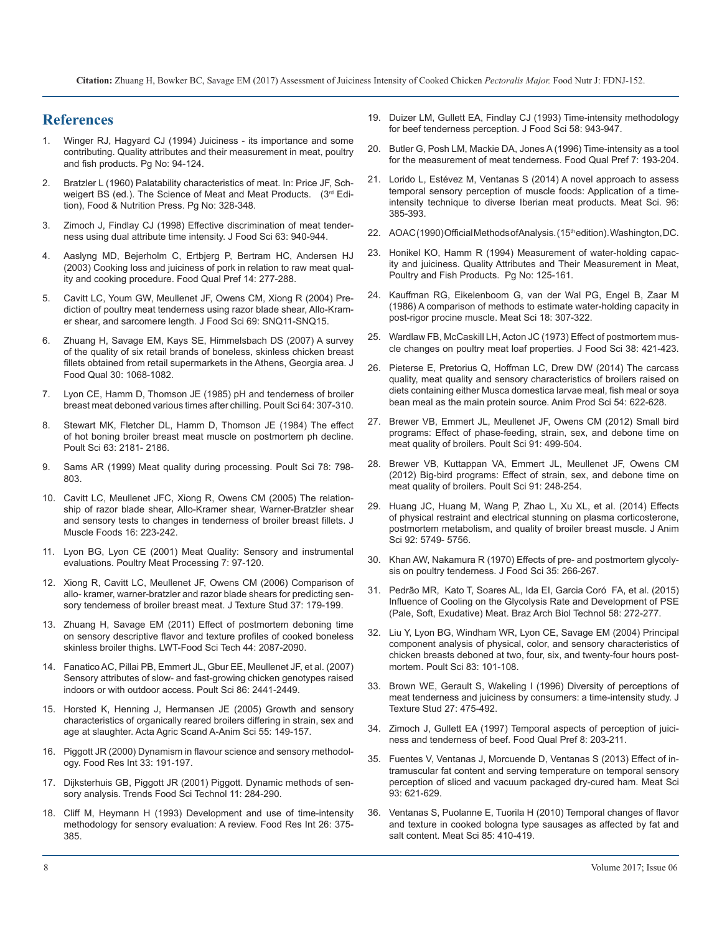# **References**

- Winger RJ, Hagyard CJ (1994) Juiciness its importance and some [contributing. Quality attributes and their measurement in meat, poultry](https://link.springer.com/chapter/10.1007/978-1-4615-2167-9_4)  [and fish products. Pg No: 94-124.](https://link.springer.com/chapter/10.1007/978-1-4615-2167-9_4)
- 2. Bratzler L (1960) Palatability characteristics of meat. In: Price JF, Schweigert BS (ed.). The Science of Meat and Meat Products. (3rd Edition), Food & Nutrition Press. Pg No: 328-348.
- 3. [Zimoch J, Findlay CJ \(1998\) Effective discrimination of meat tender](http://onlinelibrary.wiley.com/doi/10.1111/j.1365-2621.1998.tb15828.x/abstract)[ness using dual attribute time intensity. J Food Sci 63: 940-944.](http://onlinelibrary.wiley.com/doi/10.1111/j.1365-2621.1998.tb15828.x/abstract)
- 4. [Aaslyng MD, Bejerholm C, Ertbjerg P, Bertram HC, Andersen HJ](http://www.academia.edu/14292527/Cooking_loss_and_juiciness_of_pork_in_relation_to_raw_meat_quality_and_cooking_procedure)  [\(2003\) Cooking loss and juiciness of pork in relation to raw meat qual](http://www.academia.edu/14292527/Cooking_loss_and_juiciness_of_pork_in_relation_to_raw_meat_quality_and_cooking_procedure)[ity and cooking procedure. Food Qual Pref 14: 277-288.](http://www.academia.edu/14292527/Cooking_loss_and_juiciness_of_pork_in_relation_to_raw_meat_quality_and_cooking_procedure)
- 5. [Cavitt LC, Youm GW, Meullenet JF, Owens CM, Xiong R \(2004\) Pre](http://onlinelibrary.wiley.com/doi/10.1111/j.1365-2621.2004.tb17879.x/abstract)[diction of poultry meat tenderness using razor blade shear, Allo-Kram](http://onlinelibrary.wiley.com/doi/10.1111/j.1365-2621.2004.tb17879.x/abstract)[er shear, and sarcomere length. J Food Sci 69: SNQ11-SNQ15.](http://onlinelibrary.wiley.com/doi/10.1111/j.1365-2621.2004.tb17879.x/abstract)
- 6. [Zhuang H, Savage EM, Kays SE, Himmelsbach DS \(2007\) A survey](http://onlinelibrary.wiley.com/doi/10.1111/j.1745-4557.2007.00178.x/abstract)  [of the quality of six retail brands of boneless, skinless chicken breast](http://onlinelibrary.wiley.com/doi/10.1111/j.1745-4557.2007.00178.x/abstract)  [fillets obtained from retail supermarkets in the Athens, Georgia area. J](http://onlinelibrary.wiley.com/doi/10.1111/j.1745-4557.2007.00178.x/abstract)  [Food Qual 30: 1068-1082.](http://onlinelibrary.wiley.com/doi/10.1111/j.1745-4557.2007.00178.x/abstract)
- 7. [Lyon CE, Hamm D, Thomson JE \(1985\) pH and tenderness of broiler](https://academic.oup.com/ps/article-abstract/64/2/307/1550569/pH-and-Tenderness-of-Broiler-Breast-Meat-Deboned?redirectedFrom=PDF)  [breast meat deboned various times after chilling. Poult Sci 64: 307-310.](https://academic.oup.com/ps/article-abstract/64/2/307/1550569/pH-and-Tenderness-of-Broiler-Breast-Meat-Deboned?redirectedFrom=PDF)
- 8. [Stewart MK, Fletcher DL, Hamm D, Thomson JE \(1984\) The effect](https://academic.oup.com/ps/article-abstract/63/11/2181/1477507/The-Effect-of-Hot-Boning-Broiler-Breast-Meat?redirectedFrom=PDF)  [of hot boning broiler breast meat muscle on postmortem ph decline.](https://academic.oup.com/ps/article-abstract/63/11/2181/1477507/The-Effect-of-Hot-Boning-Broiler-Breast-Meat?redirectedFrom=PDF)  [Poult Sci 63: 2181- 2186.](https://academic.oup.com/ps/article-abstract/63/11/2181/1477507/The-Effect-of-Hot-Boning-Broiler-Breast-Meat?redirectedFrom=PDF)
- 9. [Sams AR \(1999\) Meat quality during processing. Poult Sci 78: 798-](https://www.ncbi.nlm.nih.gov/pubmed/10228979) [803.](https://www.ncbi.nlm.nih.gov/pubmed/10228979)
- 10. [Cavitt LC, Meullenet JFC, Xiong R, Owens CM \(2005\) The relation](http://onlinelibrary.wiley.com/doi/10.1111/j.1745-4573.2005.00001.x/abstract)[ship of razor blade shear, Allo-Kramer shear, Warner-Bratzler shear](http://onlinelibrary.wiley.com/doi/10.1111/j.1745-4573.2005.00001.x/abstract)  [and sensory tests to changes in tenderness of broiler breast fillets. J](http://onlinelibrary.wiley.com/doi/10.1111/j.1745-4573.2005.00001.x/abstract) [Muscle Foods 16: 223-242.](http://onlinelibrary.wiley.com/doi/10.1111/j.1745-4573.2005.00001.x/abstract)
- 11. [Lyon BG, Lyon CE \(2001\) Meat Quality: Sensory and instrumental](https://www.ars.usda.gov/research/publications/publication/?seqNo115=114611)  [evaluations. Poultry Meat Processing 7: 97-120.](https://www.ars.usda.gov/research/publications/publication/?seqNo115=114611)
- 12. [Xiong R, Cavitt LC, Meullenet JF, Owens CM \(2006\) Comparison of](D:\PDF\GFNS\GFNS-152\Comparison of allo- kramer, warner-bratzler and razor blade shears for predicting sensory tenderness of broiler breast meat)  [allo- kramer, warner-bratzler and razor blade shears for predicting sen](D:\PDF\GFNS\GFNS-152\Comparison of allo- kramer, warner-bratzler and razor blade shears for predicting sensory tenderness of broiler breast meat)[sory tenderness of broiler breast meat. J Texture Stud 37: 179-199.](D:\PDF\GFNS\GFNS-152\Comparison of allo- kramer, warner-bratzler and razor blade shears for predicting sensory tenderness of broiler breast meat)
- 13. [Zhuang H, Savage EM \(2011\) Effect of postmortem deboning time](https://pubag.nal.usda.gov/catalog/474300)  [on sensory descriptive flavor and texture profiles of cooked boneless](https://pubag.nal.usda.gov/catalog/474300)  [skinless broiler thighs. LWT-Food Sci Tech 44: 2087-2090.](https://pubag.nal.usda.gov/catalog/474300)
- 14. [Fanatico AC, Pillai PB, Emmert JL, Gbur EE, Meullenet JF, et al. \(2007\)](https://www.ncbi.nlm.nih.gov/pubmed/17954596)  [Sensory attributes of slow- and fast-growing chicken genotypes raised](https://www.ncbi.nlm.nih.gov/pubmed/17954596)  [indoors or with outdoor access. Poult Sci 86: 2441-2449.](https://www.ncbi.nlm.nih.gov/pubmed/17954596)
- 15. [Horsted K, Henning J, Hermansen JE \(2005\) Growth and sensory](http://www.tandfonline.com/doi/abs/10.1080/09064700500520779?journalCode=saga20)  [characteristics of organically reared broilers differing in strain, sex and](http://www.tandfonline.com/doi/abs/10.1080/09064700500520779?journalCode=saga20)  [age at slaughter. Acta Agric Scand A-Anim Sci 55: 149-157.](http://www.tandfonline.com/doi/abs/10.1080/09064700500520779?journalCode=saga20)
- 16. Piggott JR (2000) Dynamism in flavour science and sensory methodology. Food Res Int 33: 191-197.
- 17. [Dijksterhuis GB, Piggott JR \(2001\) Piggott. Dynamic methods of sen](http://cat.inist.fr/?aModele=afficheN&cpsidt=14136213)[sory analysis. Trends Food Sci Technol 11: 284-290.](http://cat.inist.fr/?aModele=afficheN&cpsidt=14136213)
- 18. [Cliff M, Heymann H \(1993\) Development and use of time-intensity](http://agris.fao.org/agris-search/search.do?recordID=CA9500253)  [methodology for sensory evaluation: A review. Food Res Int 26: 375-](http://agris.fao.org/agris-search/search.do?recordID=CA9500253) [385.](http://agris.fao.org/agris-search/search.do?recordID=CA9500253)
- 19. [Duizer LM, Gullett EA, Findlay CJ \(1993\) Time-intensity methodology](http://onlinelibrary.wiley.com/doi/10.1111/j.1365-2621.1993.tb06084.x/full)  [for beef tenderness perception. J Food Sci 58: 943-947.](http://onlinelibrary.wiley.com/doi/10.1111/j.1365-2621.1993.tb06084.x/full)
- 20. [Butler G, Posh LM, Mackie DA, Jones A \(1996\) Time-intensity as a tool](http://agris.fao.org/agris-search/search.do?recordID=US201302872419)  [for the measurement of meat tenderness. Food Qual Pref 7: 193-204.](http://agris.fao.org/agris-search/search.do?recordID=US201302872419)
- 21. [Lorido L, Estévez M, Ventanas S \(2014\) A novel approach to assess](https://www.ncbi.nlm.nih.gov/pubmed/23973565)  [temporal sensory perception of muscle foods: Application of a time](https://www.ncbi.nlm.nih.gov/pubmed/23973565)[intensity technique to diverse Iberian meat products. Meat Sci. 96:](https://www.ncbi.nlm.nih.gov/pubmed/23973565)  [385-393.](https://www.ncbi.nlm.nih.gov/pubmed/23973565)
- 22. [AOAC \(1990\) Official Methods of Analysis. \(15](http://www.scirp.org/(S(lz5mqp453edsnp55rrgjct55))/reference/ReferencesPapers.aspx?ReferenceID=1898608)<sup>th</sup> edition). Washington, DC.
- 23. [Honikel KO, Hamm R \(1994\) Measurement of water-holding capac](https://link.springer.com/chapter/10.1007/978-1-4615-2167-9_5)[ity and juiciness. Quality Attributes and Their Measurement in Meat,](https://link.springer.com/chapter/10.1007/978-1-4615-2167-9_5)  [Poultry and Fish Products. Pg No: 125-161.](https://link.springer.com/chapter/10.1007/978-1-4615-2167-9_5)
- 24. [Kauffman RG, Eikelenboom G, van der Wal PG, Engel B, Zaar M](https://www.ncbi.nlm.nih.gov/pubmed/22055735)  [\(1986\) A comparison of methods to estimate water-holding capacity in](https://www.ncbi.nlm.nih.gov/pubmed/22055735)  [post-rigor procine muscle. Meat Sci 18: 307-322.](https://www.ncbi.nlm.nih.gov/pubmed/22055735)
- 25. [Wardlaw FB, McCaskill LH, Acton JC \(1973\) Effect of postmortem mus](http://onlinelibrary.wiley.com/doi/10.1111/j.1365-2621.1973.tb01444.x/abstract)[cle changes on poultry meat loaf properties. J Food Sci 38: 421-423.](http://onlinelibrary.wiley.com/doi/10.1111/j.1365-2621.1973.tb01444.x/abstract)
- 26. [Pieterse E, Pretorius Q, Hoffman LC, Drew DW \(2014\) The carcass](https://www.deepdyve.com/lp/csiro-publishing/the-carcass-quality-meat-quality-and-sensory-characteristics-of-MGlnGSuUvp)  [quality, meat quality and sensory characteristics of broilers raised on](https://www.deepdyve.com/lp/csiro-publishing/the-carcass-quality-meat-quality-and-sensory-characteristics-of-MGlnGSuUvp)  [diets containing either Musca domestica larvae meal, fish meal or soya](https://www.deepdyve.com/lp/csiro-publishing/the-carcass-quality-meat-quality-and-sensory-characteristics-of-MGlnGSuUvp)  [bean meal as the main protein source. Anim Prod Sci 54: 622-628.](https://www.deepdyve.com/lp/csiro-publishing/the-carcass-quality-meat-quality-and-sensory-characteristics-of-MGlnGSuUvp)
- 27. [Brewer VB, Emmert JL, Meullenet JF, Owens CM \(2012\) Small bird](https://www.ncbi.nlm.nih.gov/pubmed/22252365)  [programs: Effect of phase-feeding, strain, sex, and debone time on](https://www.ncbi.nlm.nih.gov/pubmed/22252365)  [meat quality of broilers. Poult Sci 91: 499-504.](https://www.ncbi.nlm.nih.gov/pubmed/22252365)
- 28. [Brewer VB, Kuttappan VA, Emmert JL, Meullenet JF, Owens CM](https://www.ncbi.nlm.nih.gov/pubmed/22184451https:/www.ncbi.nlm.nih.gov/pubmed/22184451)  [\(2012\) Big-bird programs: Effect of strain, sex, and debone time on](https://www.ncbi.nlm.nih.gov/pubmed/22184451https:/www.ncbi.nlm.nih.gov/pubmed/22184451)  [meat quality of broilers. Poult Sci 91: 248-254.](https://www.ncbi.nlm.nih.gov/pubmed/22184451https:/www.ncbi.nlm.nih.gov/pubmed/22184451)
- 29. [Huang JC, Huang M, Wang P, Zhao L, Xu XL, et al. \(2014\) Effects](https://www.ncbi.nlm.nih.gov/pubmed/25367525)  [of physical restraint and electrical stunning on plasma corticosterone,](https://www.ncbi.nlm.nih.gov/pubmed/25367525)  [postmortem metabolism, and quality of broiler breast muscle. J Anim](https://www.ncbi.nlm.nih.gov/pubmed/25367525)  [Sci 92: 5749- 5756.](https://www.ncbi.nlm.nih.gov/pubmed/25367525)
- 30. [Khan AW, Nakamura R \(1970\) Effects of pre- and postmortem glycoly](http://onlinelibrary.wiley.com/doi/10.1111/j.1365-2621.1970.tb12157.x/abstract)[sis on poultry tenderness. J Food Sci 35: 266-267.](http://onlinelibrary.wiley.com/doi/10.1111/j.1365-2621.1970.tb12157.x/abstract)
- 31. [Pedrão MR, Kato T, Soares AL, Ida EI, Garcia Coró FA, et al. \(2015\)](http://www.scielo.br/scielo.php?script=sci_arttext&pid=S1516-89132015000200272)  [Influence of Cooling on the Glycolysis Rate and Development of PSE](http://www.scielo.br/scielo.php?script=sci_arttext&pid=S1516-89132015000200272)  [\(Pale, Soft, Exudative\) Meat. Braz Arch Biol Technol 58: 272-277.](http://www.scielo.br/scielo.php?script=sci_arttext&pid=S1516-89132015000200272)
- 32. [Liu Y, Lyon BG, Windham WR, Lyon CE, Savage EM \(2004\) Principal](https://www.ncbi.nlm.nih.gov/pubmed/14761091)  [component analysis of physical, color, and sensory characteristics of](https://www.ncbi.nlm.nih.gov/pubmed/14761091) [chicken breasts deboned at two, four, six, and twenty-four hours post](https://www.ncbi.nlm.nih.gov/pubmed/14761091)[mortem. Poult Sci 83: 101-108.](https://www.ncbi.nlm.nih.gov/pubmed/14761091)
- 33. [Brown WE, Gerault S, Wakeling I \(1996\) Diversity of perceptions of](http://onlinelibrary.wiley.com/doi/10.1111/j.1745-4603.1996.tb00090.x/abstract)  [meat tenderness and juiciness by consumers: a time-intensity study. J](http://onlinelibrary.wiley.com/doi/10.1111/j.1745-4603.1996.tb00090.x/abstract)  [Texture Stud 27: 475-492.](http://onlinelibrary.wiley.com/doi/10.1111/j.1745-4603.1996.tb00090.x/abstract)
- 34. Zimoch J, Gullett EA (1997) Temporal aspects of perception of juiciness and tenderness of beef. Food Qual Pref 8: 203-211.
- 35. [Fuentes V, Ventanas J, Morcuende D, Ventanas S \(2013\) Effect of in](https://www.ncbi.nlm.nih.gov/pubmed/23273473)[tramuscular fat content and serving temperature on temporal sensory](https://www.ncbi.nlm.nih.gov/pubmed/23273473)  [perception of sliced and vacuum packaged dry-cured ham. Meat Sci](https://www.ncbi.nlm.nih.gov/pubmed/23273473)  [93: 621-629.](https://www.ncbi.nlm.nih.gov/pubmed/23273473)
- 36. Ventanas S, Puolanne E, Tuorila H (2010) Temporal changes of flavor and texture in cooked bologna type sausages as affected by fat and salt content. Meat Sci 85: 410-419.